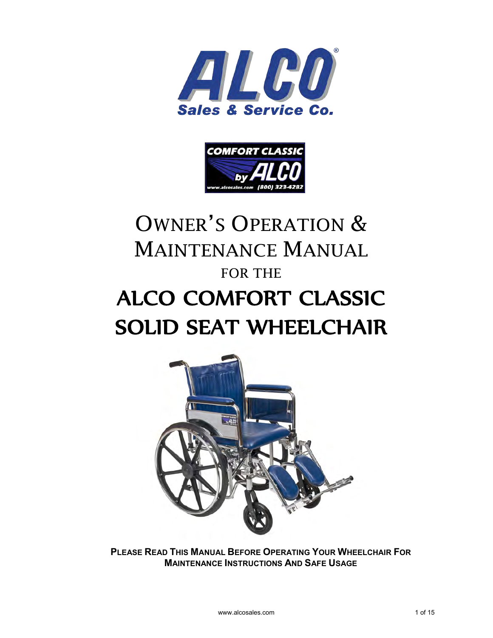



# OWNER'S OPERATION & MAINTENANCE MANUAL FOR THE [ALCO COMFORT CLASSIC](http://www.alcosales.com/alco-wheelchairs/alco-comfort-classic-wheelchairs.asp) SOLID SEAT WHEELCHAIR



**PLEASE READ THIS MANUAL BEFORE OPERATING YOUR WHEELCHAIR FOR MAINTENANCE INSTRUCTIONS AND SAFE USAGE**

www.alcosales.com 1 of 15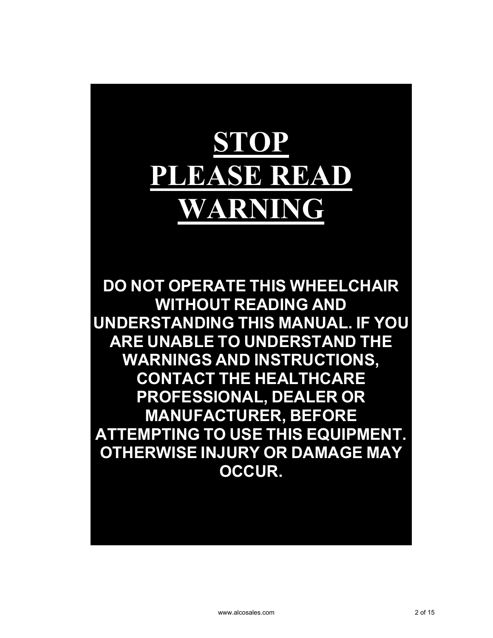# **STOP PLEASE READ WARNING**

**DO NOT OPERATE THIS WHEELCHAIR WITHOUT READING AND UNDERSTANDING THIS MANUAL. IF YOU ARE UNABLE TO UNDERSTAND THE WARNINGS AND INSTRUCTIONS, CONTACT THE HEALTHCARE PROFESSIONAL, DEALER OR MANUFACTURER, BEFORE ATTEMPTING TO USE THIS EQUIPMENT. OTHERWISE INJURY OR DAMAGE MAY OCCUR.**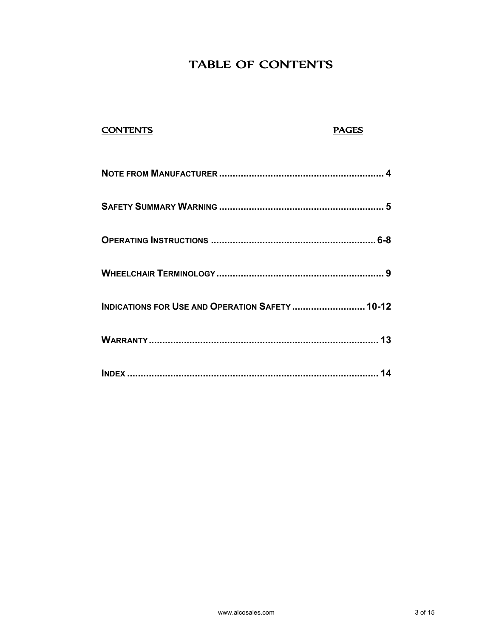# TABLE OF CONTENTS

| <b>CONTENTS</b>                                 | <b>PAGES</b> |
|-------------------------------------------------|--------------|
|                                                 |              |
|                                                 |              |
|                                                 |              |
|                                                 |              |
| INDICATIONS FOR USE AND OPERATION SAFETY  10-12 |              |
|                                                 |              |
|                                                 |              |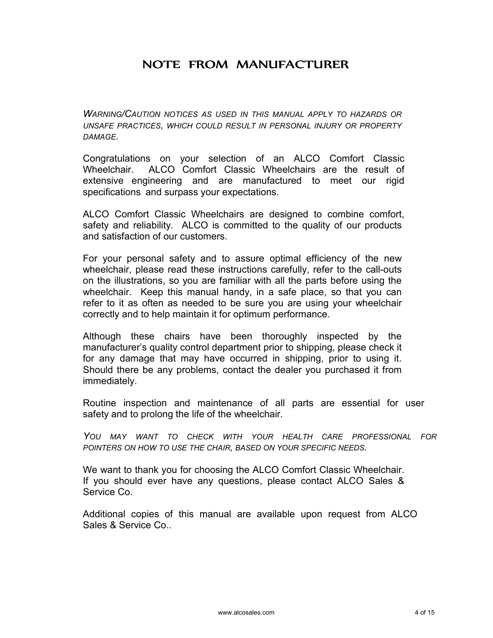# NOTE FROM MANUFACTURER

*WARNING/CAUTION NOTICES AS USED IN THIS MANUAL APPLY TO HAZARDS OR UNSAFE PRACTICES, WHICH COULD RESULT IN PERSONAL INJURY OR PROPERTY DAMAGE.* 

Congratulations on your selection of an ALCO Comfort Classic Wheelchair. ALCO Comfort Classic Wheelchairs are the result of extensive engineering and are manufactured to meet our rigid specifications and surpass your expectations.

ALCO Comfort Classic Wheelchairs are designed to combine comfort, safety and reliability. ALCO is committed to the quality of our products and satisfaction of our customers.

For your personal safety and to assure optimal efficiency of the new wheelchair, please read these instructions carefully, refer to the call-outs on the illustrations, so you are familiar with all the parts before using the wheelchair. Keep this manual handy, in a safe place, so that you can refer to it as often as needed to be sure you are using your wheelchair correctly and to help maintain it for optimum performance.

Although these chairs have been thoroughly inspected by the manufacturer's quality control department prior to shipping, please check it for any damage that may have occurred in shipping, prior to using it. Should there be any problems, contact the dealer you purchased it from immediately.

Routine inspection and maintenance of all parts are essential for user safety and to prolong the life of the wheelchair.

*YOU MAY WANT TO CHECK WITH YOUR HEALTH CARE PROFESSIONAL FOR POINTERS ON HOW TO USE THE CHAIR, BASED ON YOUR SPECIFIC NEEDS.* 

We want to thank you for choosing the ALCO Comfort Classic Wheelchair. If you should ever have any questions, please contact ALCO Sales & Service Co.

Additional copies of this manual are available upon request from ALCO Sales & Service Co..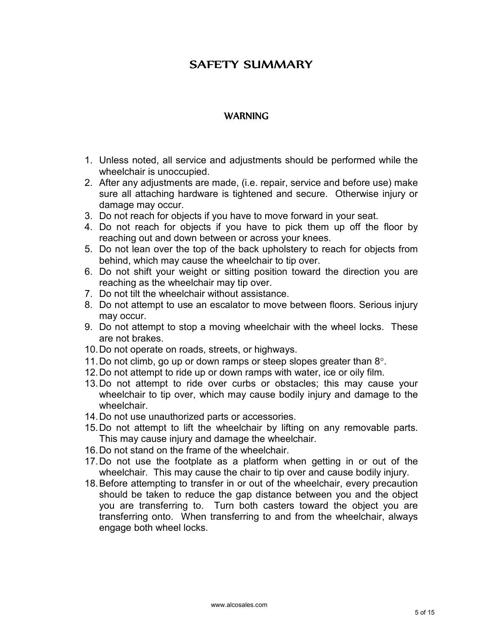# **SAFETY SUMMARY**

#### **WARNING**

- 1. Unless noted, all service and adjustments should be performed while the wheelchair is unoccupied.
- 2. After any adjustments are made, (i.e. repair, service and before use) make sure all attaching hardware is tightened and secure. Otherwise injury or damage may occur.
- 3. Do not reach for objects if you have to move forward in your seat.
- 4. Do not reach for objects if you have to pick them up off the floor by reaching out and down between or across your knees.
- 5. Do not lean over the top of the back upholstery to reach for objects from behind, which may cause the wheelchair to tip over.
- 6. Do not shift your weight or sitting position toward the direction you are reaching as the wheelchair may tip over.
- 7. Do not tilt the wheelchair without assistance.
- 8. Do not attempt to use an escalator to move between floors. Serious injury may occur.
- 9. Do not attempt to stop a moving wheelchair with the wheel locks. These are not brakes.
- 10. Do not operate on roads, streets, or highways.
- 11. Do not climb, go up or down ramps or steep slopes greater than  $8^\circ$ .
- 12. Do not attempt to ride up or down ramps with water, ice or oily film.
- 13. Do not attempt to ride over curbs or obstacles; this may cause your wheelchair to tip over, which may cause bodily injury and damage to the wheelchair.
- 14. Do not use unauthorized parts or accessories.
- 15. Do not attempt to lift the wheelchair by lifting on any removable parts. This may cause injury and damage the wheelchair.
- 16. Do not stand on the frame of the wheelchair.
- 17. Do not use the footplate as a platform when getting in or out of the wheelchair. This may cause the chair to tip over and cause bodily injury.
- 18. Before attempting to transfer in or out of the wheelchair, every precaution should be taken to reduce the gap distance between you and the object you are transferring to. Turn both casters toward the object you are transferring onto. When transferring to and from the wheelchair, always engage both wheel locks.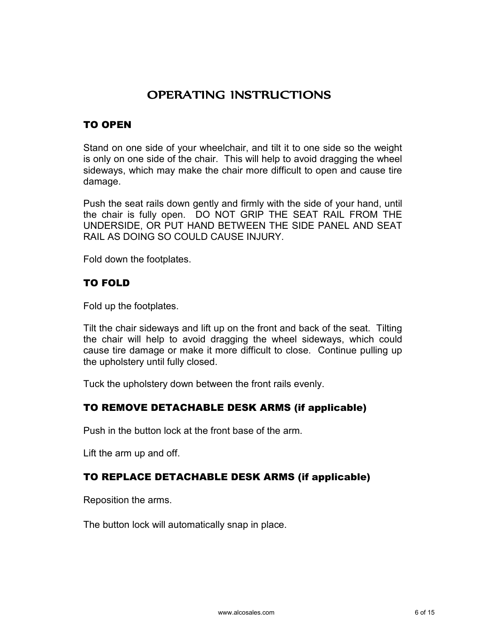# **OPERATING INSTRUCTIONS**

#### TO OPEN

Stand on one side of your wheelchair, and tilt it to one side so the weight is only on one side of the chair. This will help to avoid dragging the wheel sideways, which may make the chair more difficult to open and cause tire damage.

Push the seat rails down gently and firmly with the side of your hand, until the chair is fully open. DO NOT GRIP THE SEAT RAIL FROM THE UNDERSIDE, OR PUT HAND BETWEEN THE SIDE PANEL AND SEAT RAIL AS DOING SO COULD CAUSE INJURY.

Fold down the footplates.

#### TO FOLD

Fold up the footplates.

Tilt the chair sideways and lift up on the front and back of the seat. Tilting the chair will help to avoid dragging the wheel sideways, which could cause tire damage or make it more difficult to close. Continue pulling up the upholstery until fully closed.

Tuck the upholstery down between the front rails evenly.

#### TO REMOVE DETACHABLE DESK ARMS (if applicable)

Push in the button lock at the front base of the arm.

Lift the arm up and off.

#### TO REPLACE DETACHABLE DESK ARMS (if applicable)

Reposition the arms.

The button lock will automatically snap in place.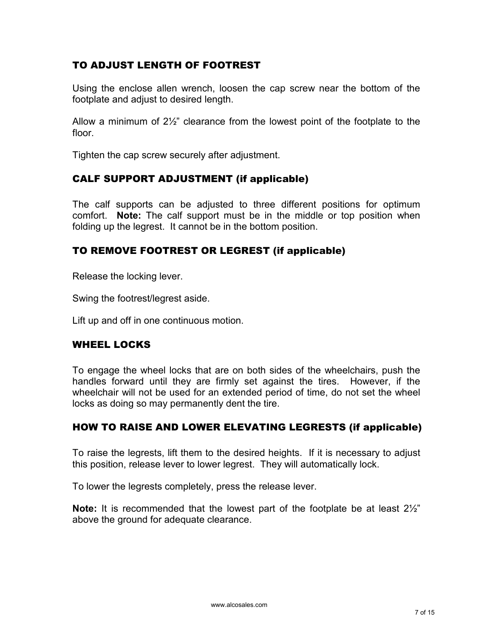#### TO ADJUST LENGTH OF FOOTREST

Using the enclose allen wrench, loosen the cap screw near the bottom of the footplate and adjust to desired length.

Allow a minimum of 2½" clearance from the lowest point of the footplate to the floor.

Tighten the cap screw securely after adjustment.

#### CALF SUPPORT ADJUSTMENT (if applicable)

The calf supports can be adjusted to three different positions for optimum comfort. **Note:** The calf support must be in the middle or top position when folding up the legrest. It cannot be in the bottom position.

#### TO REMOVE FOOTREST OR LEGREST (if applicable)

Release the locking lever.

Swing the footrest/legrest aside.

Lift up and off in one continuous motion.

#### WHEEL LOCKS

To engage the wheel locks that are on both sides of the wheelchairs, push the handles forward until they are firmly set against the tires. However, if the wheelchair will not be used for an extended period of time, do not set the wheel locks as doing so may permanently dent the tire.

#### HOW TO RAISE AND LOWER ELEVATING LEGRESTS (if applicable)

To raise the legrests, lift them to the desired heights. If it is necessary to adjust this position, release lever to lower legrest. They will automatically lock.

To lower the legrests completely, press the release lever.

**Note:** It is recommended that the lowest part of the footplate be at least 2½" above the ground for adequate clearance.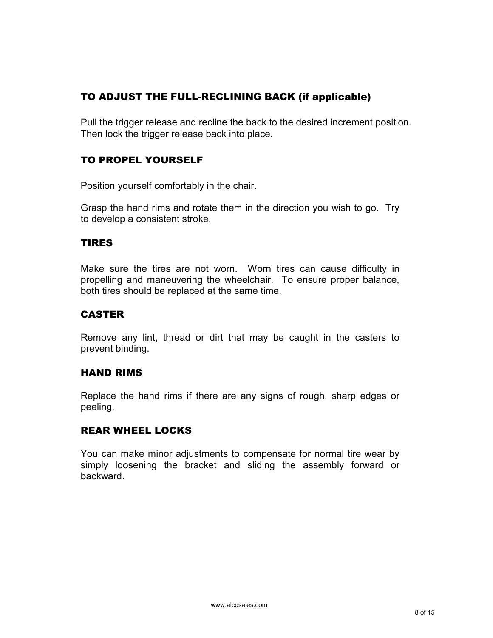## TO ADJUST THE FULL-RECLINING BACK (if applicable)

Pull the trigger release and recline the back to the desired increment position. Then lock the trigger release back into place.

#### TO PROPEL YOURSELF

Position yourself comfortably in the chair.

Grasp the hand rims and rotate them in the direction you wish to go. Try to develop a consistent stroke.

#### TIRES

Make sure the tires are not worn. Worn tires can cause difficulty in propelling and maneuvering the wheelchair. To ensure proper balance, both tires should be replaced at the same time.

#### CASTER

Remove any lint, thread or dirt that may be caught in the casters to prevent binding.

#### HAND RIMS

Replace the hand rims if there are any signs of rough, sharp edges or peeling.

#### REAR WHEEL LOCKS

You can make minor adjustments to compensate for normal tire wear by simply loosening the bracket and sliding the assembly forward or backward.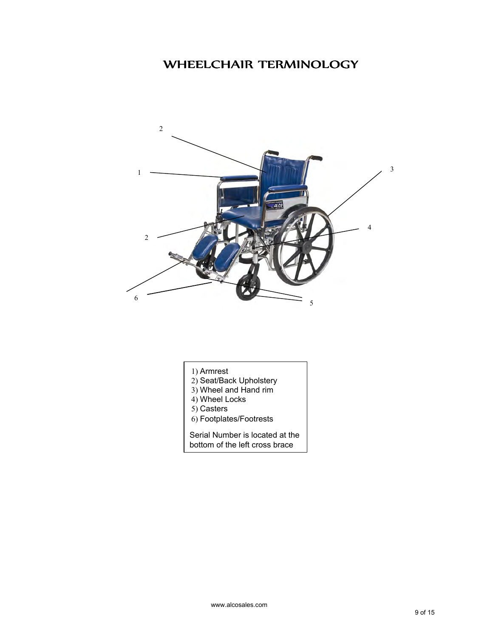# WHEELCHAIR TERMINOLOGY



- 1) Armrest
- 2) Seat/Back Upholstery
- 3) Wheel and Hand rim
- 4) Wheel Locks
- 5) Casters
- 6) Footplates/Footrests

Serial Number is located at the bottom of the left cross brace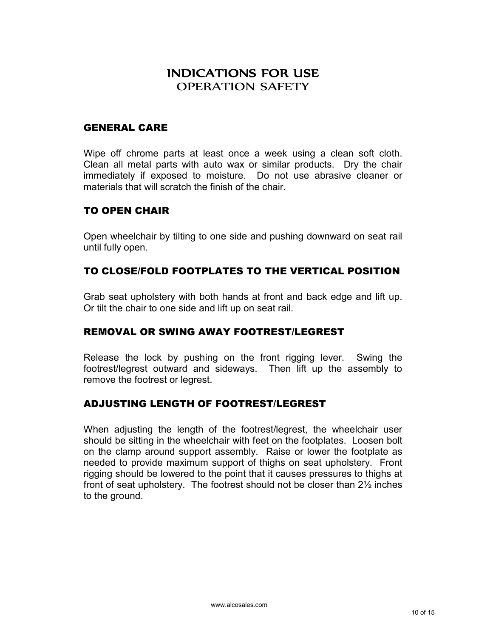## INDICATIONS FOR USE OPERATION SAFETY

#### GENERAL CARE

Wipe off chrome parts at least once a week using a clean soft cloth. Clean all metal parts with auto wax or similar products. Dry the chair immediately if exposed to moisture. Do not use abrasive cleaner or materials that will scratch the finish of the chair.

#### TO OPEN CHAIR

Open wheelchair by tilting to one side and pushing downward on seat rail until fully open.

#### TO CLOSE/FOLD FOOTPLATES TO THE VERTICAL POSITION

Grab seat upholstery with both hands at front and back edge and lift up. Or tilt the chair to one side and lift up on seat rail.

#### REMOVAL OR SWING AWAY FOOTREST/LEGREST

Release the lock by pushing on the front rigging lever. Swing the footrest/legrest outward and sideways. Then lift up the assembly to remove the footrest or legrest.

#### ADJUSTING LENGTH OF FOOTREST/LEGREST

When adjusting the length of the footrest/legrest, the wheelchair user should be sitting in the wheelchair with feet on the footplates. Loosen bolt on the clamp around support assembly. Raise or lower the footplate as needed to provide maximum support of thighs on seat upholstery. Front rigging should be lowered to the point that it causes pressures to thighs at front of seat upholstery. The footrest should not be closer than 2½ inches to the ground.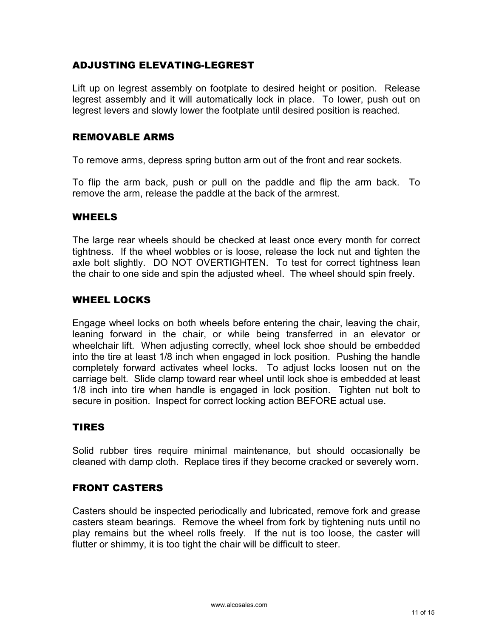#### ADJUSTING ELEVATING-LEGREST

Lift up on legrest assembly on footplate to desired height or position. Release legrest assembly and it will automatically lock in place. To lower, push out on legrest levers and slowly lower the footplate until desired position is reached.

#### REMOVABLE ARMS

To remove arms, depress spring button arm out of the front and rear sockets.

To flip the arm back, push or pull on the paddle and flip the arm back. To remove the arm, release the paddle at the back of the armrest.

#### WHEELS

The large rear wheels should be checked at least once every month for correct tightness. If the wheel wobbles or is loose, release the lock nut and tighten the axle bolt slightly. DO NOT OVERTIGHTEN. To test for correct tightness lean the chair to one side and spin the adjusted wheel. The wheel should spin freely.

#### WHEEL LOCKS

Engage wheel locks on both wheels before entering the chair, leaving the chair, leaning forward in the chair, or while being transferred in an elevator or wheelchair lift. When adjusting correctly, wheel lock shoe should be embedded into the tire at least 1/8 inch when engaged in lock position. Pushing the handle completely forward activates wheel locks. To adjust locks loosen nut on the carriage belt. Slide clamp toward rear wheel until lock shoe is embedded at least 1/8 inch into tire when handle is engaged in lock position. Tighten nut bolt to secure in position. Inspect for correct locking action BEFORE actual use.

#### TIRES

Solid rubber tires require minimal maintenance, but should occasionally be cleaned with damp cloth. Replace tires if they become cracked or severely worn.

#### FRONT CASTERS

Casters should be inspected periodically and lubricated, remove fork and grease casters steam bearings. Remove the wheel from fork by tightening nuts until no play remains but the wheel rolls freely. If the nut is too loose, the caster will flutter or shimmy, it is too tight the chair will be difficult to steer.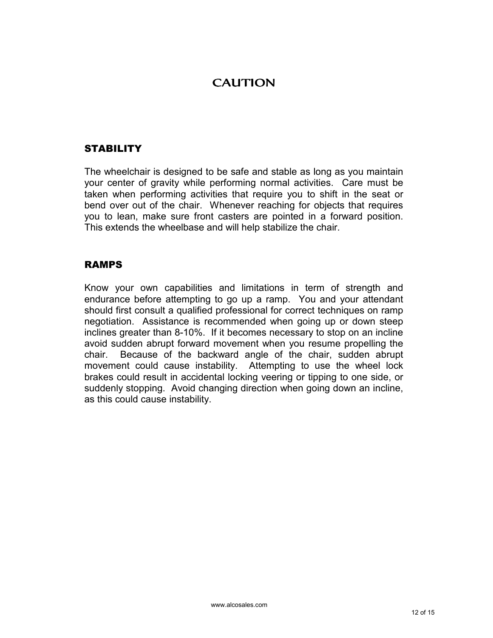# **CAUTION**

#### **STABILITY**

The wheelchair is designed to be safe and stable as long as you maintain your center of gravity while performing normal activities. Care must be taken when performing activities that require you to shift in the seat or bend over out of the chair. Whenever reaching for objects that requires you to lean, make sure front casters are pointed in a forward position. This extends the wheelbase and will help stabilize the chair.

#### RAMPS

Know your own capabilities and limitations in term of strength and endurance before attempting to go up a ramp. You and your attendant should first consult a qualified professional for correct techniques on ramp negotiation. Assistance is recommended when going up or down steep inclines greater than 8-10%. If it becomes necessary to stop on an incline avoid sudden abrupt forward movement when you resume propelling the chair. Because of the backward angle of the chair, sudden abrupt movement could cause instability. Attempting to use the wheel lock brakes could result in accidental locking veering or tipping to one side, or suddenly stopping. Avoid changing direction when going down an incline, as this could cause instability.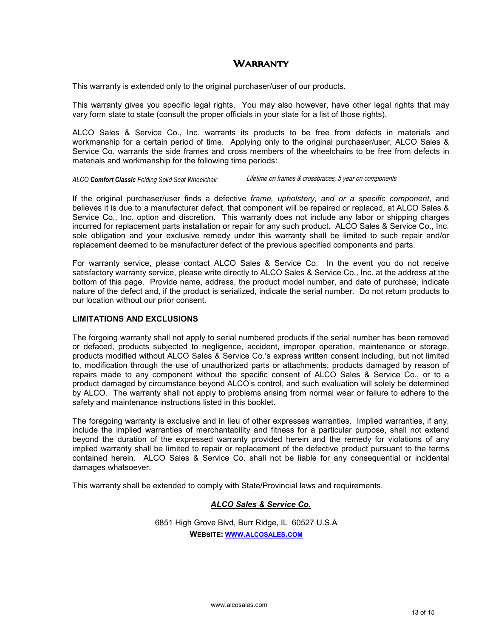#### WARRANTY

This warranty is extended only to the original purchaser/user of our products.

This warranty gives you specific legal rights. You may also however, have other legal rights that may vary form state to state (consult the proper officials in your state for a list of those rights).

ALCO Sales & Service Co., Inc. warrants its products to be free from defects in materials and workmanship for a certain period of time. Applying only to the original purchaser/user, ALCO Sales & Service Co. warrants the side frames and cross members of the wheelchairs to be free from defects in materials and workmanship for the following time periods:

#### *ALCO Comfort Classic Folding Solid Seat Wheelchair* Lifetime on frames & crossbraces, 5 year on components

If the original purchaser/user finds a defective *frame, upholstery, and or a specific component*, and believes it is due to a manufacturer defect, that component will be repaired or replaced, at ALCO Sales & Service Co., Inc. option and discretion. This warranty does not include any labor or shipping charges incurred for replacement parts installation or repair for any such product. ALCO Sales & Service Co., Inc. sole obligation and your exclusive remedy under this warranty shall be limited to such repair and/or replacement deemed to be manufacturer defect of the previous specified components and parts.

For warranty service, please contact ALCO Sales & Service Co. In the event you do not receive satisfactory warranty service, please write directly to ALCO Sales & Service Co., Inc. at the address at the bottom of this page. Provide name, address, the product model number, and date of purchase, indicate nature of the defect and, if the product is serialized, indicate the serial number. Do not return products to our location without our prior consent.

#### **LIMITATIONS AND EXCLUSIONS**

The forgoing warranty shall not apply to serial numbered products if the serial number has been removed or defaced, products subjected to negligence, accident, improper operation, maintenance or storage, products modified without ALCO Sales & Service Co.'s express written consent including, but not limited to, modification through the use of unauthorized parts or attachments; products damaged by reason of repairs made to any component without the specific consent of ALCO Sales & Service Co., or to a product damaged by circumstance beyond ALCO's control, and such evaluation will solely be determined by ALCO. The warranty shall not apply to problems arising from normal wear or failure to adhere to the safety and maintenance instructions listed in this booklet.

The foregoing warranty is exclusive and in lieu of other expresses warranties. Implied warranties, if any, include the implied warranties of merchantability and fitness for a particular purpose, shall not extend beyond the duration of the expressed warranty provided herein and the remedy for violations of any implied warranty shall be limited to repair or replacement of the defective product pursuant to the terms contained herein. ALCO Sales & Service Co. shall not be liable for any consequential or incidental damages whatsoever.

This warranty shall be extended to comply with State/Provincial laws and requirements.

#### *ALCO Sales & Service Co.*

6851 High Grove Blvd, Burr Ridge, IL 60527 U.S.A **WEBsITE: WWW.ALCOSALES.COM**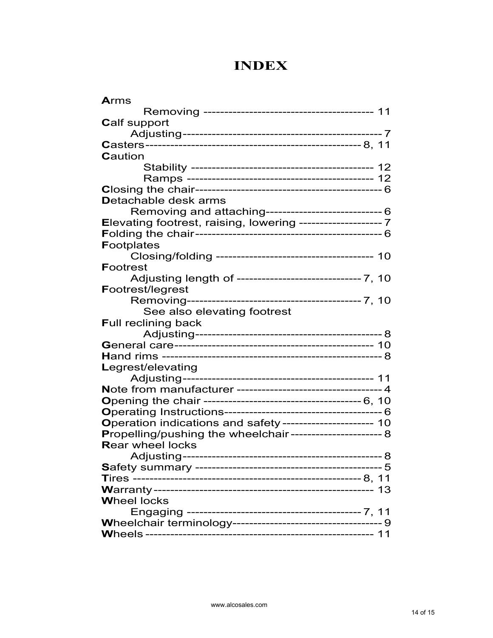# **INDEX**

| <b>Arms</b>                                                  |
|--------------------------------------------------------------|
|                                                              |
| <b>Calf support</b>                                          |
|                                                              |
|                                                              |
| Caution                                                      |
|                                                              |
|                                                              |
|                                                              |
| <b>Detachable desk arms</b>                                  |
| Removing and attaching------------------------------ 6       |
| Elevating footrest, raising, lowering -------------------- 7 |
|                                                              |
| <b>Footplates</b>                                            |
|                                                              |
| <b>Footrest</b>                                              |
| Adjusting length of ------------------------------- 7, 10    |
| <b>Footrest/legrest</b>                                      |
|                                                              |
| See also elevating footrest                                  |
| <b>Full reclining back</b>                                   |
|                                                              |
|                                                              |
|                                                              |
| Legrest/elevating                                            |
|                                                              |
| Note from manufacturer ----------------------------------4   |
|                                                              |
|                                                              |
| Operation indications and safety---------------------- 10    |
| Propelling/pushing the wheelchair----------------------- 8   |
| <b>Rear wheel locks</b>                                      |
| Adjusting-------------------------<br>------ 8               |
|                                                              |
|                                                              |
| 13                                                           |
| <b>Wheel locks</b>                                           |
|                                                              |
|                                                              |
|                                                              |